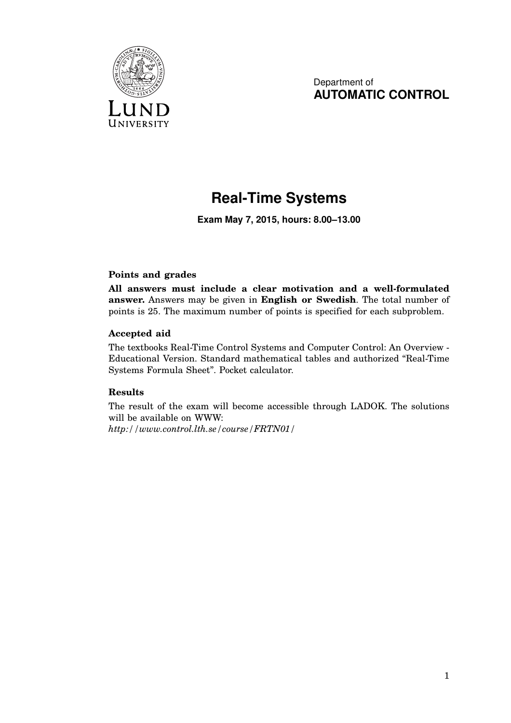

Department of **AUTOMATIC CONTROL**

## **Real-Time Systems**

**Exam May 7, 2015, hours: 8.00–13.00**

## **Points and grades**

**All answers must include a clear motivation and a well-formulated answer.** Answers may be given in **English or Swedish**. The total number of points is 25. The maximum number of points is specified for each subproblem.

## **Accepted aid**

The textbooks Real-Time Control Systems and Computer Control: An Overview - Educational Version. Standard mathematical tables and authorized "Real-Time Systems Formula Sheet". Pocket calculator.

## **Results**

The result of the exam will become accessible through LADOK. The solutions will be available on WWW:

*http://www.control.lth.se/course/FRTN01/*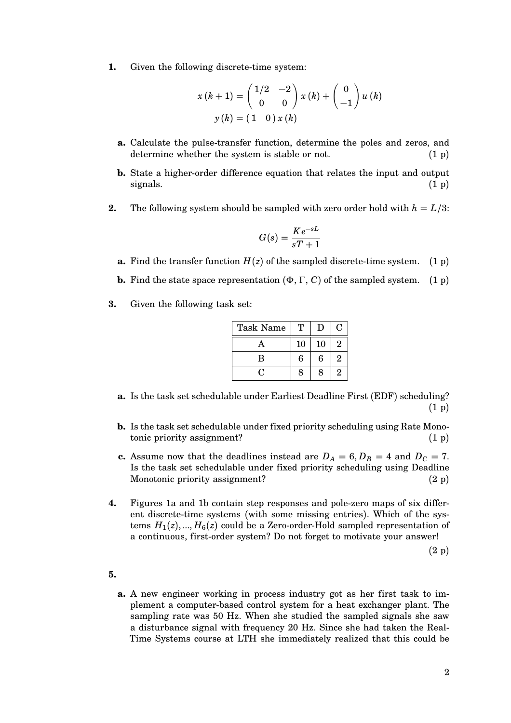**1.** Given the following discrete-time system:

$$
x(k+1) = \begin{pmatrix} 1/2 & -2 \\ 0 & 0 \end{pmatrix} x(k) + \begin{pmatrix} 0 \\ -1 \end{pmatrix} u(k)
$$

$$
y(k) = \begin{pmatrix} 1 & 0 \end{pmatrix} x(k)
$$

- **a.** Calculate the pulse-transfer function, determine the poles and zeros, and determine whether the system is stable or not.  $(1 p)$
- **b.** State a higher-order difference equation that relates the input and output signals.  $(1\text{ p})$
- **2.** The following system should be sampled with zero order hold with  $h = L/3$ :

$$
G(s) = \frac{Ke^{-sL}}{sT+1}
$$

- **a.** Find the transfer function  $H(z)$  of the sampled discrete-time system. (1 p)
- **b.** Find the state space representation  $(\Phi, \Gamma, C)$  of the sampled system. (1 p)
- **3.** Given the following task set:

| <b>Task Name</b> |    | D  | С              |
|------------------|----|----|----------------|
| $\mathbf{A}$     | 10 | 10 | $\overline{2}$ |
| B                | 6  | 6  | $\overline{2}$ |
|                  | 8  | 8  | $\overline{2}$ |

- **a.** Is the task set schedulable under Earliest Deadline First (EDF) scheduling? (1 p)
- **b.** Is the task set schedulable under fixed priority scheduling using Rate Monotonic priority assignment? (1 p)
- **c.** Assume now that the deadlines instead are  $D_A = 6$ ,  $D_B = 4$  and  $D_C = 7$ . Is the task set schedulable under fixed priority scheduling using Deadline Monotonic priority assignment? (2 p)
- **4.** Figures 1a and 1b contain step responses and pole-zero maps of six different discrete-time systems (with some missing entries). Which of the systems  $H_1(z),...,H_6(z)$  could be a Zero-order-Hold sampled representation of a continuous, first-order system? Do not forget to motivate your answer!

(2 p)

- **5.**
	- **a.** A new engineer working in process industry got as her first task to implement a computer-based control system for a heat exchanger plant. The sampling rate was 50 Hz. When she studied the sampled signals she saw a disturbance signal with frequency 20 Hz. Since she had taken the Real-Time Systems course at LTH she immediately realized that this could be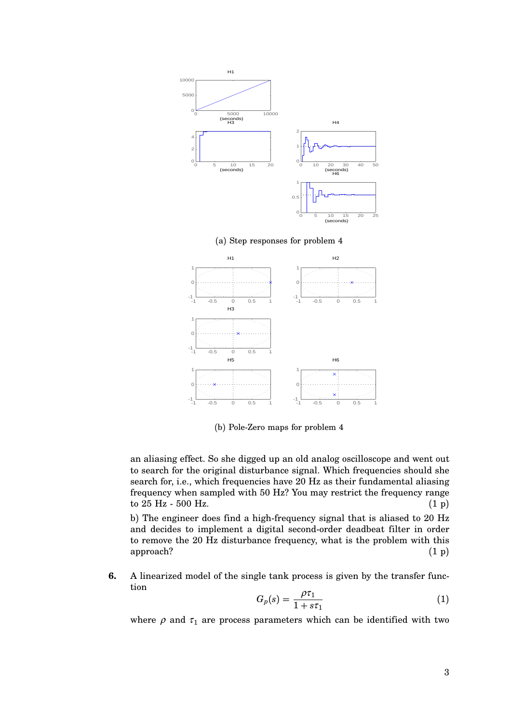



(b) Pole-Zero maps for problem 4

an aliasing effect. So she digged up an old analog oscilloscope and went out to search for the original disturbance signal. Which frequencies should she search for, i.e., which frequencies have 20 Hz as their fundamental aliasing frequency when sampled with 50 Hz? You may restrict the frequency range to  $25 \text{ Hz}$  - 500 Hz. (1 p)

b) The engineer does find a high-frequency signal that is aliased to 20 Hz and decides to implement a digital second-order deadbeat filter in order to remove the 20 Hz disturbance frequency, what is the problem with this  $approach?$  (1 p)

**6.** A linearized model of the single tank process is given by the transfer function

$$
G_p(s) = \frac{\rho \tau_1}{1 + s \tau_1} \tag{1}
$$

where  $\rho$  and  $\tau_1$  are process parameters which can be identified with two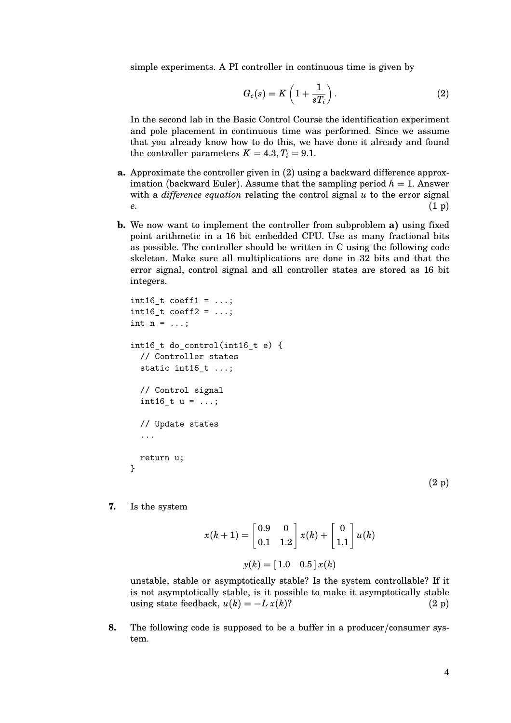simple experiments. A PI controller in continuous time is given by

$$
G_c(s) = K\left(1 + \frac{1}{sT_i}\right). \tag{2}
$$

In the second lab in the Basic Control Course the identification experiment and pole placement in continuous time was performed. Since we assume that you already know how to do this, we have done it already and found the controller parameters  $K = 4.3, T_i = 9.1$ .

- **a.** Approximate the controller given in (2) using a backward difference approximation (backward Euler). Assume that the sampling period  $h = 1$ . Answer with a *difference equation* relating the control signal *u* to the error signal *e*. (1 p)
- **b.** We now want to implement the controller from subproblem **a**) using fixed point arithmetic in a 16 bit embedded CPU. Use as many fractional bits as possible. The controller should be written in C using the following code skeleton. Make sure all multiplications are done in 32 bits and that the error signal, control signal and all controller states are stored as 16 bit integers.

```
int16 t coeff1 = \dots;int16_t \; coefficient2 = ...;int n = \ldots;int16_t do_control(int16_t e) {
  // Controller states
  static int16_t ...;
  // Control signal
  int16_t u = ...;// Update states
  ...
  return u;
}
```
(2 p)

**7.** Is the system

$$
x(k+1) = \begin{bmatrix} 0.9 & 0 \\ 0.1 & 1.2 \end{bmatrix} x(k) + \begin{bmatrix} 0 \\ 1.1 \end{bmatrix} u(k)
$$

$$
y(k) = \begin{bmatrix} 1.0 & 0.5 \end{bmatrix} x(k)
$$

unstable, stable or asymptotically stable? Is the system controllable? If it is not asymptotically stable, is it possible to make it asymptotically stable using state feedback,  $u(k) = -Lx(k)$ ? (2 p)

**8.** The following code is supposed to be a buffer in a producer/consumer system.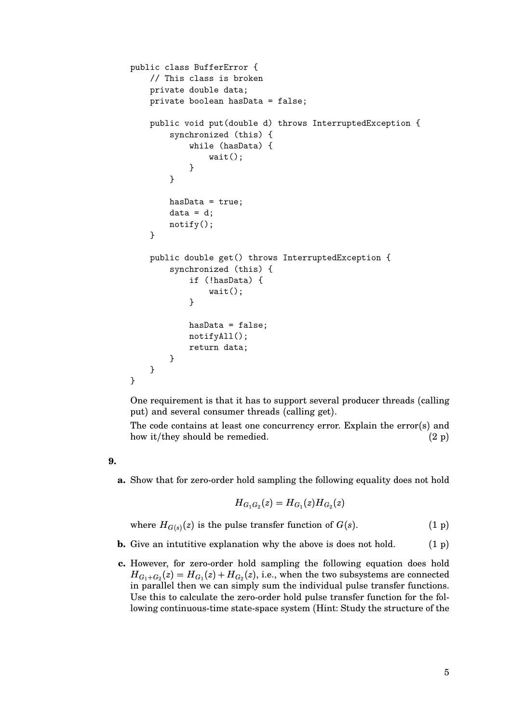```
public class BufferError {
    // This class is broken
    private double data;
    private boolean hasData = false;
    public void put(double d) throws InterruptedException {
        synchronized (this) {
            while (hasData) {
                wait();
            }
        }
        hasData = true;
        data = d;notify();
    }
    public double get() throws InterruptedException {
        synchronized (this) {
            if (!hasData) {
                wait();
            }
            hasData = false;
            notifyAll();
            return data;
        }
    }
}
```
One requirement is that it has to support several producer threads (calling put) and several consumer threads (calling get).

The code contains at least one concurrency error. Explain the error(s) and how it/they should be remedied.  $(2 p)$ 

**9.**

**a.** Show that for zero-order hold sampling the following equality does not hold

$$
H_{G_1G_2}(z)=H_{G_1}(z)H_{G_2}(z)\\
$$

where  $H_{G(s)}(z)$  is the pulse transfer function of  $G(s)$ . (1 p)

- **b.** Give an intuitive explanation why the above is does not hold.  $(1 p)$
- **c.** However, for zero-order hold sampling the following equation does hold  $H_{G_1+G_2}(z)=H_{G_1}(z)+H_{G_2}(z),$  i.e., when the two subsystems are connected in parallel then we can simply sum the individual pulse transfer functions. Use this to calculate the zero-order hold pulse transfer function for the following continuous-time state-space system (Hint: Study the structure of the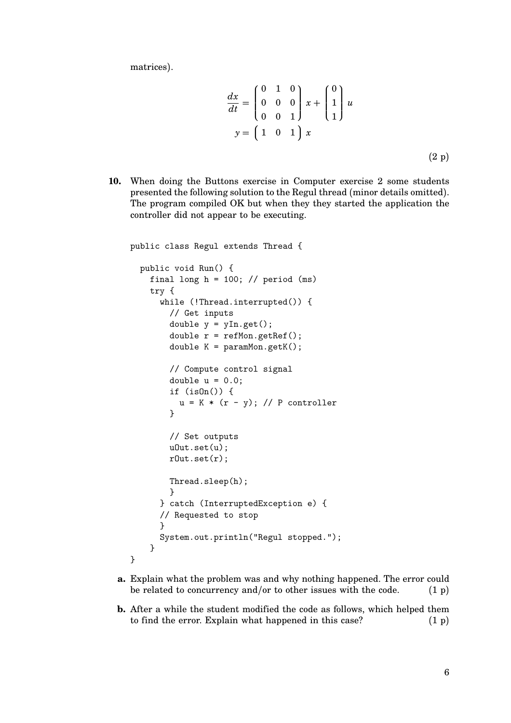matrices).

$$
\frac{dx}{dt} = \begin{pmatrix} 0 & 1 & 0 \\ 0 & 0 & 0 \\ 0 & 0 & 1 \end{pmatrix} x + \begin{pmatrix} 0 \\ 1 \\ 1 \end{pmatrix} u
$$

$$
y = \begin{pmatrix} 1 & 0 & 1 \end{pmatrix} x
$$
(2 p)

**10.** When doing the Buttons exercise in Computer exercise 2 some students presented the following solution to the Regul thread (minor details omitted). The program compiled OK but when they they started the application the controller did not appear to be executing.

```
public class Regul extends Thread {
  public void Run() {
    final long h = 100; // period (ms)
    try {
      while (!Thread.interrupted()) {
        // Get inputs
        double y = yIn.get();
        double r = refMon.getRef();
        double K = paramMon.getK();
        // Compute control signal
        double u = 0.0;
        if (isOn()) {
          u = K * (r - y); // P controller
        }
        // Set outputs
        uOut.set(u);
        rOut.set(r);
        Thread.sleep(h);
        }
      } catch (InterruptedException e) {
      // Requested to stop
      }
      System.out.println("Regul stopped.");
    }
}
```
- **a.** Explain what the problem was and why nothing happened. The error could be related to concurrency and/or to other issues with the code.  $(1 p)$
- **b.** After a while the student modified the code as follows, which helped them to find the error. Explain what happened in this case?  $(1 p)$